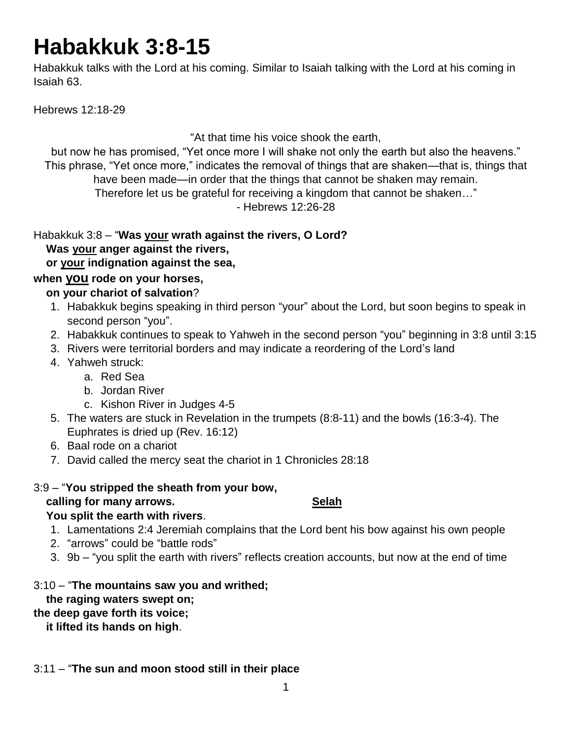# **Habakkuk 3:8-15**

Habakkuk talks with the Lord at his coming. Similar to Isaiah talking with the Lord at his coming in Isaiah 63.

Hebrews 12:18-29

"At that time his voice shook the earth,

but now he has promised, "Yet once more I will shake not only the earth but also the heavens." This phrase, "Yet once more," indicates the removal of things that are shaken—that is, things that have been made—in order that the things that cannot be shaken may remain.

Therefore let us be grateful for receiving a kingdom that cannot be shaken…"

- Hebrews 12:26-28

Habakkuk 3:8 – "**Was your wrath against the rivers, O Lord? Was your anger against the rivers, or your indignation against the sea,**

### **when you rode on your horses,**

#### **on your chariot of salvation**?

- 1. Habakkuk begins speaking in third person "your" about the Lord, but soon begins to speak in second person "you".
- 2. Habakkuk continues to speak to Yahweh in the second person "you" beginning in 3:8 until 3:15
- 3. Rivers were territorial borders and may indicate a reordering of the Lord's land
- 4. Yahweh struck:
	- a. Red Sea
	- b. Jordan River
	- c. Kishon River in Judges 4-5
- 5. The waters are stuck in Revelation in the trumpets (8:8-11) and the bowls (16:3-4). The Euphrates is dried up (Rev. 16:12)
- 6. Baal rode on a chariot
- 7. David called the mercy seat the chariot in 1 Chronicles 28:18
- 3:9 "**You stripped the sheath from your bow, calling for many arrows.** Selah  **You split the earth with rivers**.
	- 1. Lamentations 2:4 Jeremiah complains that the Lord bent his bow against his own people
	- 2. "arrows" could be "battle rods"
	- 3. 9b "you split the earth with rivers" reflects creation accounts, but now at the end of time
- 3:10 "**The mountains saw you and writhed;**

## **the raging waters swept on;**

# **the deep gave forth its voice;**

 **it lifted its hands on high**.

#### 3:11 – "**The sun and moon stood still in their place**